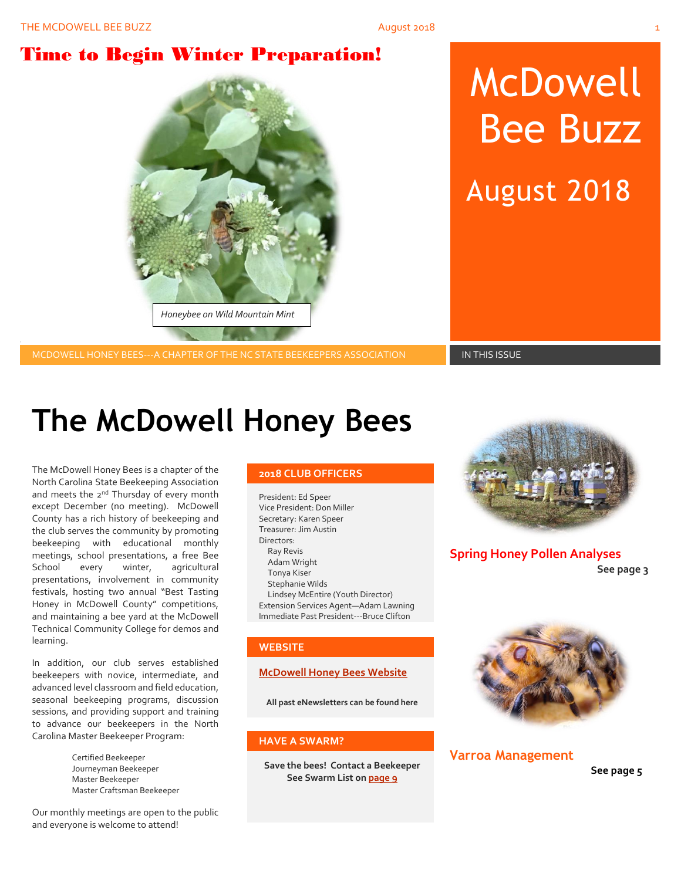# Time to Begin Winter Preparation!



# McDowell Bee Buzz

August 2018

MCDOWELL HONEY BEES---A CHAPTER OF THE NC STATE BEEKEEPERS ASSOCIATION **IN THIS ISSUE** 

# **The McDowell Honey Bees**

The McDowell Honey Bees is a chapter of the North Carolina State Beekeeping Association and meets the 2<sup>nd</sup> Thursday of every month except December (no meeting). McDowell County has a rich history of beekeeping and the club serves the community by promoting beekeeping with educational monthly meetings, school presentations, a free Bee School every winter, agricultural presentations, involvement in community festivals, hosting two annual "Best Tasting Honey in McDowell County" competitions, and maintaining a bee yard at the McDowell Technical Community College for demos and learning.

In addition, our club serves established beekeepers with novice, intermediate, and advanced level classroom and field education, seasonal beekeeping programs, discussion sessions, and providing support and training to advance our beekeepers in the North Carolina Master Beekeeper Program:

> Certified Beekeeper Journeyman Beekeeper Master Beekeeper Master Craftsman Beekeeper

Our monthly meetings are open to the public and everyone is welcome to attend!

#### **2018 CLUB OFFICERS**

President: Ed Speer Vice President: Don Miller Secretary: Karen Speer Treasurer: Jim Austin Directors: Ray Revis Adam Wright Tonya Kiser Stephanie Wilds Lindsey McEntire (Youth Director) Extension Services Agent—Adam Lawning Immediate Past President---Bruce Clifton

#### **WEBSITE**

#### **[McDowell Honey Bees Website](http://www.mcdowellhoneybees.org/)**

**All past eNewsletters can be found here**

#### **HAVE A SWARM?**

**Save the bees! Contact a Beekeeper See Swarm List o[n page 9](#page-8-0)**



**Spring Honey Pollen Analyses See page 3**



#### **Varroa Management**

**See page 5**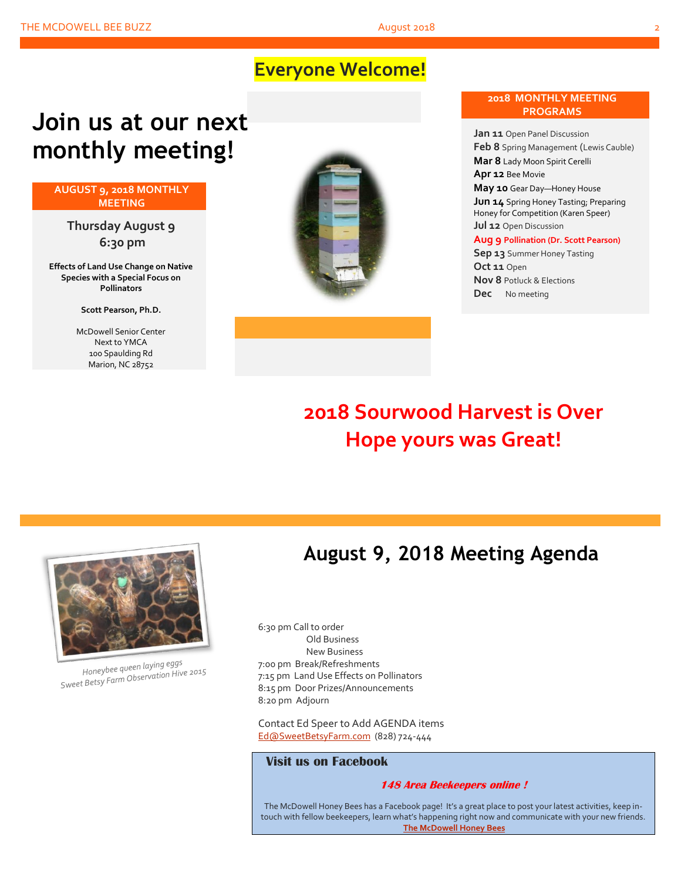# **Everyone Welcome!**

# **Join us at our next monthly meeting!**

#### **AUGUST 9, 2018 MONTHLY MEETING**

**Thursday August 9 6:30 pm**

**Effects of Land Use Change on Native Species with a Special Focus on Pollinators**

**Scott Pearson, Ph.D.**

McDowell Senior Center Next to YMCA 100 Spaulding Rd Marion, NC 28752



#### **2018 MONTHLY MEETING PROGRAMS**

**Jan 11** Open Panel Discussion **Feb 8** Spring Management (Lewis Cauble) **Mar 8** Lady Moon Spirit Cerelli **Apr 12** Bee Movie **May 10** Gear Day—Honey House

**Jun 14** Spring Honey Tasting; Preparing Honey for Competition (Karen Speer) **Jul 12** Open Discussion

#### **Aug 9 Pollination (Dr. Scott Pearson)**

**Sep 13** Summer Honey Tasting **Oct 11** Open **Nov 8** Potluck & Elections **Dec** No meeting

# **2018 Sourwood Harvest is Over Hope yours was Great!**



Honeybee queen laying eggs Honeybee queen laying eggs<br>Sweet Betsy Farm Observation Hive 2015

# **August 9, 2018 Meeting Agenda**

6:30 pm Call to order Old Business New Business 7:00 pm Break/Refreshments 7:15 pm Land Use Effects on Pollinators 8:15 pm Door Prizes/Announcements 8:20 pm Adjourn

Contact Ed Speer to Add AGENDA items [Ed@SweetBetsyFarm.com](mailto:Ed@SweetBetsyFarm.com) (828) 724-444

#### **Visit us on Facebook**

#### **148 Area Beekeepers online !**

The McDowell Honey Bees has a Facebook page! It's a great place to post your latest activities, keep intouch with fellow beekeepers, learn what's happening right now and communicate with your new friends. **[The McDowell Honey Bees](https://www.facebook.com/groups/MHBee/)**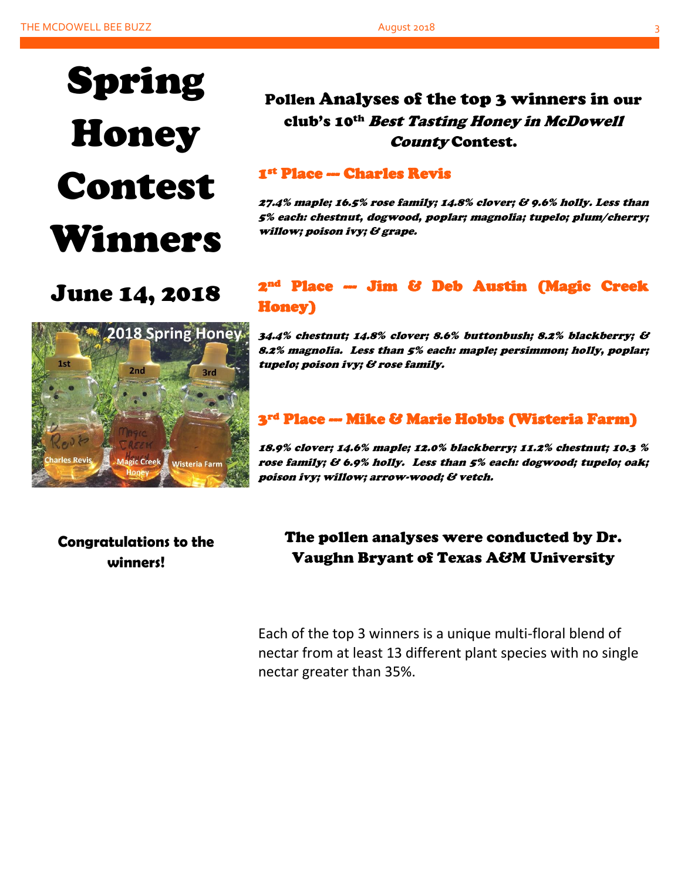# Spring Honey Contest Winners

Pollen Analyses of the top 3 winners in our club's 10th Best Tasting Honey in McDowell County Contest.

### 1st Place --- Charles Revis

27.4% maple; 16.5% rose family; 14.8% clover; & 9.6% holly. Less than 5% each: chestnut, dogwood, poplar; magnolia; tupelo; plum/cherry; willow; poison ivy; & grape.

# June 14, 2018



### 2nd Place --- Jim & Deb Austin (Magic Creek Honey)

34.4% chestnut; 14.8% clover; 8.6% buttonbush; 8.2% blackberry; & 8.2% magnolia. Less than 5% each: maple; persimmon; holly, poplar; tupelo; poison ivy; & rose family.

### 3<sup>rd</sup> Place --- Mike & Marie Hobbs (Wisteria Farm)

18.9% clover; 14.6% maple; 12.0% blackberry; 11.2% chestnut; 10.3 % rose family; & 6.9% holly. Less than 5% each: dogwood; tupelo; oak; poison ivy; willow; arrow-wood; & vetch.

### **Congratulations to the winners!**

The pollen analyses were conducted by Dr. Vaughn Bryant of Texas A&M University

Each of the top 3 winners is a unique multi-floral blend of nectar from at least 13 different plant species with no single nectar greater than 35%.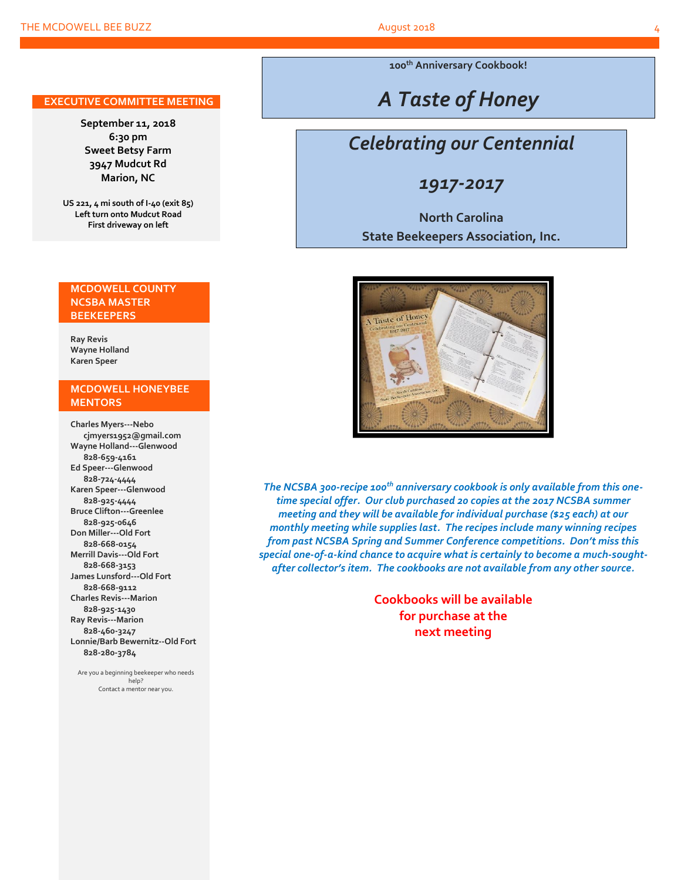**100th Anniversary Cookbook!**

# *A Taste of Honey*

# *Celebrating our Centennial*

*1917-2017*

### **North Carolina State Beekeepers Association, Inc.**



*The NCSBA 300-recipe 100th anniversary cookbook is only available from this onetime special offer. Our club purchased 20 copies at the 2017 NCSBA summer meeting and they will be available for individual purchase (\$25 each) at our monthly meeting while supplies last. The recipes include many winning recipes from past NCSBA Spring and Summer Conference competitions. Don't miss this special one-of-a-kind chance to acquire what is certainly to become a much-soughtafter collector's item. The cookbooks are not available from any other source.*

> **Cookbooks will be available for purchase at the next meeting**

#### **EXECUTIVE COMMITTEE MEETING**

**September 11, 2018 6:30 pm Sweet Betsy Farm 3947 Mudcut Rd Marion, NC**

**US 221, 4 mi south of I-40 (exit 85) Left turn onto Mudcut Road First driveway on left**

#### **MCDOWELL COUNTY NCSBA MASTER BEEKEEPERS**

**Ray Revis Wayne Holland Karen Speer**

#### **MCDOWELL HONEYBEE MENTORS**

**Charles Myers---Nebo cjmyers1952@gmail.com Wayne Holland---Glenwood 828-659-4161 Ed Speer---Glenwood 828-724-4444 Karen Speer---Glenwood 828-925-4444 Bruce Clifton---Greenlee 828-925-0646 Don Miller---Old Fort 828-668-0154 Merrill Davis---Old Fort 828-668-3153 James Lunsford---Old Fort 828-668-9112 Charles Revis---Marion 828-925-1430 Ray Revis---Marion 828-460-3247 Lonnie/Barb Bewernitz--Old Fort 828-280-3784**

Are you a beginning beekeeper who needs help? Contact a mentor near you.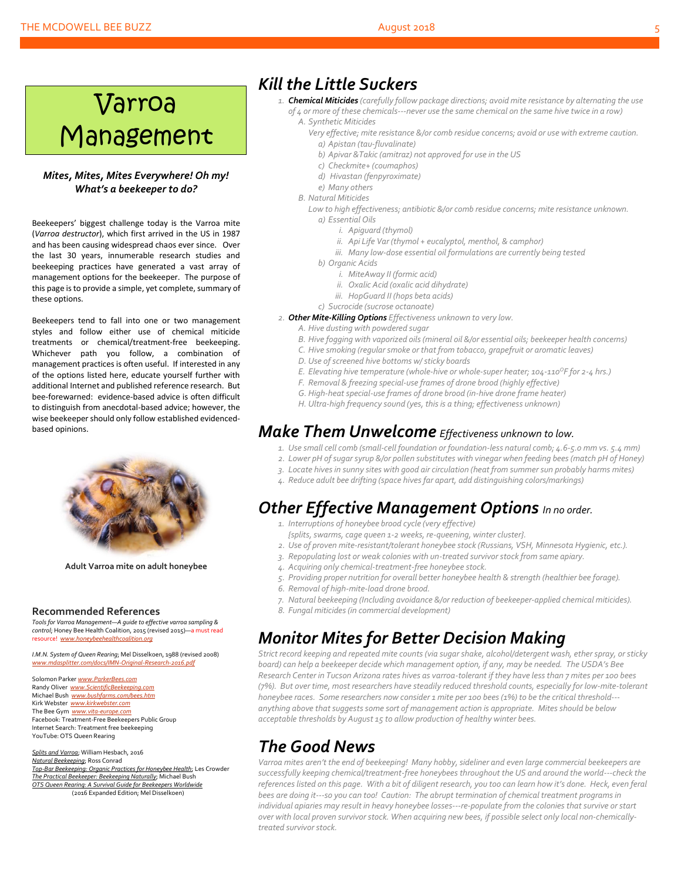#### THE MCDOWELL BEE BUZZ **August 2018** 5 August 2018

# Varroa Management

#### *Mites, Mites, Mites Everywhere! Oh my! What's a beekeeper to do?*

Beekeepers' biggest challenge today is the Varroa mite (*Varroa destructor*), which first arrived in the US in 1987 and has been causing widespread chaos ever since. Over the last 30 years, innumerable research studies and beekeeping practices have generated a vast array of management options for the beekeeper. The purpose of this page is to provide a simple, yet complete, summary of these options.

Beekeepers tend to fall into one or two management styles and follow either use of chemical miticide treatments or chemical/treatment-free beekeeping. Whichever path you follow, a combination of management practices is often useful. If interested in any of the options listed here, educate yourself further with additional Internet and published reference research. But bee-forewarned: evidence-based advice is often difficult to distinguish from anecdotal-based advice; however, the wise beekeeper should only follow established evidencedbased opinions.



**Adult Varroa mite on adult honeybee**

#### **Recommended References**

*Tools for Varroa Management—A guide to effective varroa sampling & control*; Honey Bee Health Coalition, 2015 (revised 2015)—a must read resource! www.honeybeehealthcoalition

*I.M.N. System of Queen Rearing*; Mel Disselkoen, 1988 (revised 2008) *[www.mdasplitter.com/docs/IMN-Original-Research-2016.pdf](http://www.mdasplitter.com/docs/IMN-Original-Research-2016.pdf)*

Solomon Parker *[www.ParkerBees.com](http://www.parkerbees.com/)* Randy Oliver *[www.ScientificBeekeeping.com](http://www.scientificbeekeeping.com/)*  Michael Bush *[www.bushfarms.com/bees.htm](http://www.bushfarms.com/bees.htm)* Kirk Webster *[www.kirkwebster.com](http://www.kirkwebster.com/)* The Bee Gym *[www.vita-europe.com](http://www.vita-europe.com/)* Facebook: Treatment-Free Beekeepers Public Group Internet Search: Treatment free beekeeping YouTube: OTS Queen Rearing

*Splits and Varroa*; William Hesbach, 2016 *Natural Beekeeping*; Ross Conrad *Top-Bar Beekeeping: Organic Practices for Honeybee Health*; Les Crowder *The Practical Beekeeper: Beekeeping Naturally*; Michael Bush *OTS Queen Rearing: A Survival Guide for Beekeepers Worldwide* (2016 Expanded Edition; Mel Disselkoen)

### *Kill the Little Suckers*

- *1. Chemical Miticides (carefully follow package directions; avoid mite resistance by alternating the use of 4 or more of these chemicals---never use the same chemical on the same hive twice in a row) A. Synthetic Miticides*
	- *Very effective; mite resistance &/or comb residue concerns; avoid or use with extreme caution. a) Apistan (tau-fluvalinate)*
		- *b) Apivar &Takic (amitraz) not approved for use in the US*
		- *c) Checkmite+ (coumaphos)*
		- *d) Hivastan (fenpyroximate)*
	- *e) Many others*
	- *B. Natural Miticides*

Low to high effectiveness; antibiotic &/or comb residue concerns; mite resistance unknown. *a) Essential Oils*

- *i. Apiguard (thymol)*
- *ii. Api Life Var (thymol + eucalyptol, menthol, & camphor)*
- *iii. Many low-dose essential oil formulations are currently being tested*
- *b) Organic Acids*
	- *i. MiteAway II (formic acid)*
	- *ii. Oxalic Acid (oxalic acid dihydrate)*
	- *iii. HopGuard II (hops beta acids)*
- *c) Sucrocide (sucrose octanoate)*
- *2. Other Mite-Killing Options Effectiveness unknown to very low.*
	- *A. Hive dusting with powdered sugar*
	- *B. Hive fogging with vaporized oils (mineral oil &/or essential oils; beekeeper health concerns)*
	- *C. Hive smoking (regular smoke or that from tobacco, grapefruit or aromatic leaves)*
	- *D. Use of screened hive bottoms w/ sticky boards*
	- *E. Elevating hive temperature (whole-hive or whole-super heater; 104-110<sup>O</sup>F for 2-4 hrs.)*
	- *F. Removal & freezing special-use frames of drone brood (highly effective)*
	- *G. High-heat special-use frames of drone brood (in-hive drone frame heater)*
	- *H. Ultra-high frequency sound (yes, this is a thing; effectiveness unknown)*

### *Make Them Unwelcome Effectiveness unknown to low.*

- *1. Use small cell comb (small-cell foundation or foundation-less natural comb; 4.6-5.0 mm vs. 5.4 mm)*
- *2. Lower pH of sugarsyrup &/or pollen substitutes with vinegar when feeding bees (match pH of Honey)*
- *3. Locate hives in sunny sites with good air circulation (heat from summer sun probably harms mites)*
- *4. Reduce adult bee drifting (space hivesfar apart, add distinguishing colors/markings)*

### *Other Effective Management Options In no order.*

- *1. Interruptions of honeybee brood cycle (very effective)*
- *{splits, swarms, cage queen 1-2 weeks, re-queening, winter cluster}.*
- *2. Use of proven mite-resistant/tolerant honeybee stock (Russians, VSH, Minnesota Hygienic, etc.).*
- *3. Repopulating lost or weak colonies with un-treated survivor stock from same apiary.*
- *4. Acquiring only chemical-treatment-free honeybee stock.*
- *5. Providing proper nutrition for overall better honeybee health & strength (healthier bee forage).*
- *6. Removal of high-mite-load drone brood.*
- *7. Natural beekeeping (Including avoidance &/or reduction of beekeeper-applied chemical miticides).*
- *8. Fungal miticides (in commercial development)*

## *Monitor Mites for Better Decision Making*

*Strict record keeping and repeated mite counts (via sugar shake, alcohol/detergent wash, ether spray, or sticky board) can help a beekeeper decide which management option, if any, may be needed. The USDA's Bee Research Center in Tucson Arizona rates hives as varroa-tolerant if they have less than 7 mites per 100 bees (7%). But over time, most researchers have steadily reduced threshold counts, especially for low-mite-tolerant honeybee races. Some researchers now consider 1 mite per 100 bees (1%) to be the critical threshold-- anything above that suggestssome sort of management action is appropriate. Mites should be below acceptable thresholds by August 15 to allow production of healthy winter bees.*

## *The Good News*

Varroa mites aren't the end of beekeeping! Many hobby, sideliner and even large commercial beekeepers are *successfully keeping chemical/treatment-free honeybees throughout the US and around the world---check the references listed on this page. With a bit of diligent research, you too can learn how it's done. Heck, even feral bees are doing it---so you can too! Caution: The abrupt termination of chemical treatment programs in individual apiaries may result in heavy honeybee losses---re-populate from the colonies that survive or start over with local proven survivor stock. When acquiring new bees, if possible select only local non-chemicallytreated survivor stock.*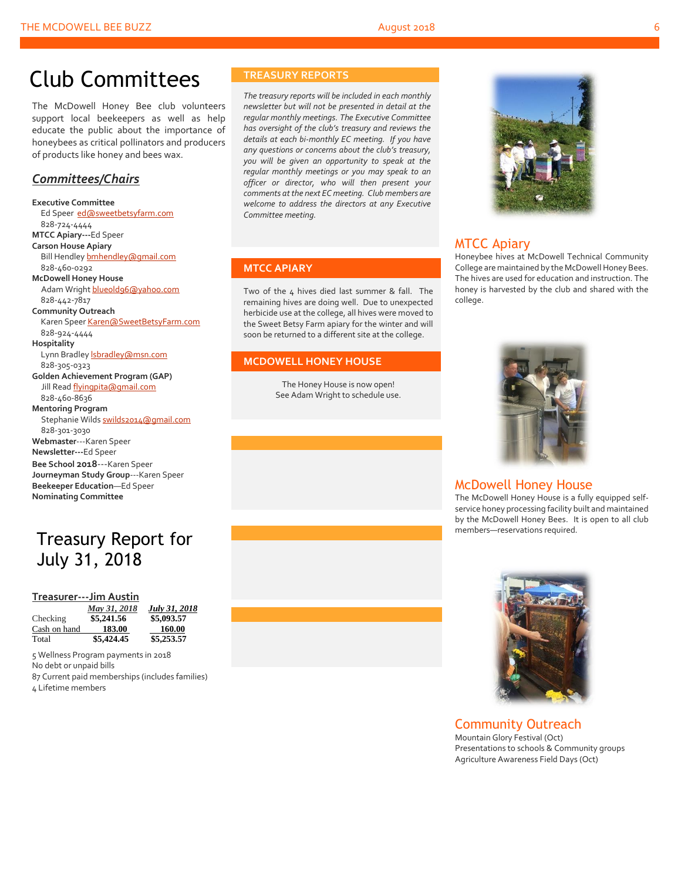# Club Committees

The McDowell Honey Bee club volunteers support local beekeepers as well as help educate the public about the importance of honeybees as critical pollinators and producers of products like honey and bees wax.

#### *Committees/Chairs*

**Executive Committee** Ed Speer [ed@sweetbetsyfarm.com](mailto:ed@sweetbetsyfarm.com) 828-724-4444 **MTCC Apiary---**Ed Speer **Carson House Apiary** Bill Hendle[y bmhendley@gmail.com](mailto:bmhendley@gmail.com) 828-460-0292 **McDowell Honey House** Adam Wright [blueold96@yahoo.com](mailto:blueold96@yahoo.com) 828-442-7817 **Community Outreach** Karen Spee[r Karen@SweetBetsyFarm.com](mailto:Karen@SweetBetsyFarm.com) 828-924-4444 **Hospitality** Lynn Bradley *sbradley@msn.com*  828-305-0323 **Golden Achievement Program (GAP)** Jill Read [flyingpita@gmail.com](mailto:flyingpita@gmail.com) 828-460-8636 **Mentoring Program** Stephanie Wild[s swilds2014@gmail.com](mailto:swilds2014@gmail.com) 828-301-3030 **Webmaster**---Karen Speer **Newsletter---**Ed Speer **Bee School 2018**---Karen Speer **Journeyman Study Group**---Karen Speer **Beekeeper Education**—Ed Speer **Nominating Committee**

# Treasury Report for July 31, 2018

#### **Treasurer---Jim Austin**

|              | May 31, 2018 | July 31, 2018 |
|--------------|--------------|---------------|
| Checking     | \$5,241.56   | \$5,093.57    |
| Cash on hand | 183.00       | 160.00        |
| Total        | \$5,424.45   | \$5,253.57    |

 Wellness Program payments in 2018 No debt or unpaid bills Current paid memberships (includes families) Lifetime members

#### **TREASURY REPORTS**

*The treasury reports will be included in each monthly newsletter but will not be presented in detail at the regular monthly meetings. The Executive Committee has oversight of the club's treasury and reviews the details at each bi-monthly EC meeting. If you have any questions or concerns about the club's treasury, you will be given an opportunity to speak at the regular monthly meetings or you may speak to an officer or director, who will then present your comments at the next EC meeting. Club members are welcome to address the directors at any Executive Committee meeting.*

#### **MTCC APIARY**

Two of the  $4$  hives died last summer & fall. The remaining hives are doing well. Due to unexpected herbicide use at the college, all hives were moved to the Sweet Betsy Farm apiary for the winter and will soon be returned to a different site at the college.

#### **MCDOWELL HONEY HOUSE**

The Honey House is now open! See Adam Wright to schedule use.



#### MTCC Apiary

Honeybee hives at McDowell Technical Community College are maintained by the McDowell Honey Bees. The hives are used for education and instruction. The honey is harvested by the club and shared with the college.



#### McDowell Honey House

The McDowell Honey House is a fully equipped selfservice honey processing facility built and maintained by the McDowell Honey Bees. It is open to all club members—reservations required.



#### Community Outreach

Mountain Glory Festival (Oct) Presentations to schools & Community groups Agriculture Awareness Field Days (Oct)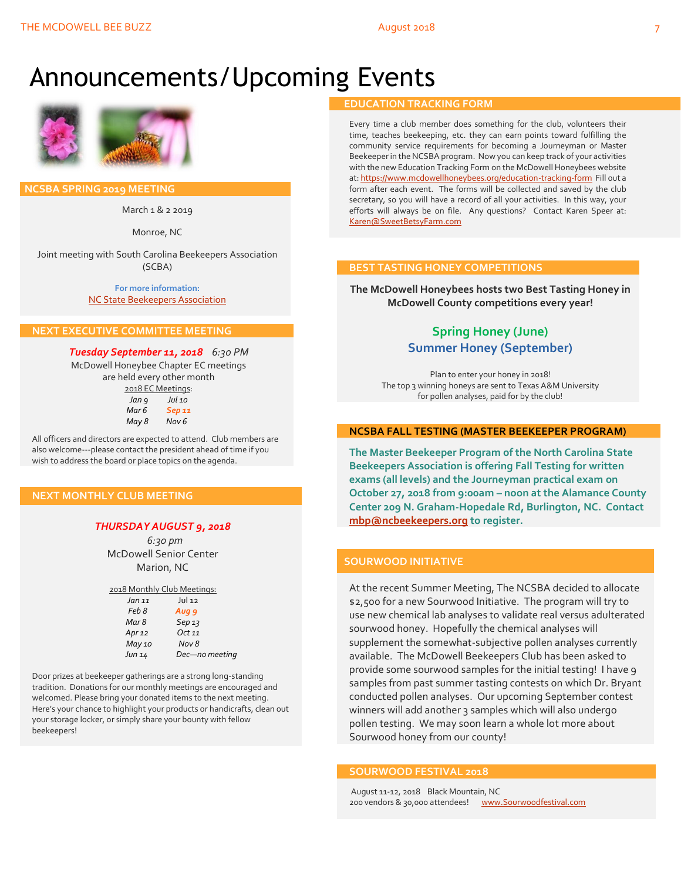# Announcements/Upcoming Events



 **NCSBA SPRING 2019 MEETING**

March 1 & 2 2019

Monroe, NC

Joint meeting with South Carolina Beekeepers Association (SCBA)

> **For more information:** [NC State Beekeepers Association](http://www.ncbeekeepers.org/)

#### **NEXT EXECUTIVE COMMITTEE MEETING**

*Tuesday September 11, 2018 6:30 PM* McDowell Honeybee Chapter EC meetings are held every other month 2018 EC Meetings: *Jan 9 Jul 10 Mar 6 Sep 11 May 8 Nov 6*

All officers and directors are expected to attend. Club members are also welcome---please contact the president ahead of time if you wish to address the board or place topics on the agenda.

#### **NEXT MONTHLY CLUB MEETING**

#### *THURSDAY AUGUST 9, 2018*

 *6:30 pm* McDowell Senior Center Marion, NC

| 2018 Monthly Club Meetings: |                   |
|-----------------------------|-------------------|
| Jan 11                      | Jul 12            |
| Feb 8                       | Aug 9             |
| Mar 8                       | Sep <sub>13</sub> |
| Apr $12$                    | Oct 11            |
| May 10                      | Nov 8             |
| Jun 14                      | Dec-no meeting    |

Door prizes at beekeeper gatherings are a strong long-standing tradition. Donations for our monthly meetings are encouraged and welcomed. Please bring your donated items to the next meeting. Here's your chance to highlight your products or handicrafts, clean out your storage locker, or simply share your bounty with fellow beekeepers!

#### **EDUCATION TRACKING FORM**

Every time a club member does something for the club, volunteers their time, teaches beekeeping, etc. they can earn points toward fulfilling the community service requirements for becoming a Journeyman or Master Beekeeper in the NCSBA program. Now you can keep track of your activities with the new Education Tracking Form on the McDowell Honeybees website at[: https://www.mcdowellhoneybees.org/education-tracking-form](https://www.mcdowellhoneybees.org/education-tracking-form) Fill out a form after each event. The forms will be collected and saved by the club secretary, so you will have a record of all your activities. In this way, your efforts will always be on file. Any questions? Contact Karen Speer at: [Karen@SweetBetsyFarm.com](mailto:Karen@SweetBetsyFarm.com)

#### **BEST TASTING HONEY COMPETITIONS**

**The McDowell Honeybees hosts two Best Tasting Honey in McDowell County competitions every year!**

#### **Spring Honey (June) Summer Honey (September)**

Plan to enter your honey in 2018! The top 3 winning honeys are sent to Texas A&M University for pollen analyses, paid for by the club!

#### **NCSBA FALL TESTING (MASTER BEEKEEPER PROGRAM)**

**The Master Beekeeper Program of the North Carolina State Beekeepers Association is offering Fall Testing for written exams (all levels) and the Journeyman practical exam on October 27, 2018 from 9:00am – noon at the Alamance County Center 209 N. Graham-Hopedale Rd, Burlington, NC. Contact [mbp@ncbeekeepers.org](mailto:mbp@ncbeekeepers.org) to register.**

#### **SOURWOOD INITIATIVE**

At the recent Summer Meeting, The NCSBA decided to allocate \$2,500 for a new Sourwood Initiative. The program will try to use new chemical lab analyses to validate real versus adulterated sourwood honey. Hopefully the chemical analyses will supplement the somewhat-subjective pollen analyses currently available. The McDowell Beekeepers Club has been asked to provide some sourwood samples for the initial testing! I have 9 samples from past summer tasting contests on which Dr. Bryant conducted pollen analyses. Our upcoming September contest winners will add another 3 samples which will also undergo pollen testing. We may soon learn a whole lot more about Sourwood honey from our county!

#### **SOURWOOD FESTIVAL 2018**

August 11-12, 2018 Black Mountain, NC 200 vendors & 30,000 attendees! www.Sourwoodfestival.com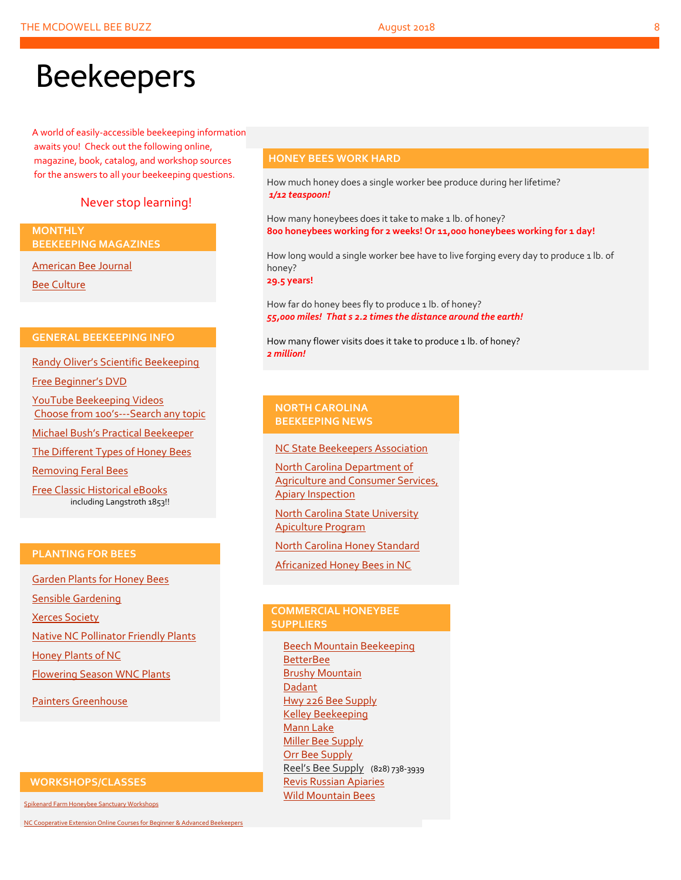# Beekeepers

A world of easily-accessible beekeeping information awaits you! Check out the following online, magazine, book, catalog, and workshop sources for the answers to all your beekeeping questions.

#### Never stop learning!

**MONTHLY BEEKEEPING MAGAZINES**

[American Bee Journal](http://www.americanbeejournal.com/)

[Bee Culture](http://www.beeculture.com/)

#### **GENERAL BEEKEEPING INFO**

Randy Oliver's [Scientific Beekeeping](http://scientificbeekeeping.com/)

[Free Beginner's DVD](http://www.worldofbeekeeping.com/free-kit/)

[YouTube Beekeeping Videos](https://www.youtube.com/results?search_query=beekeeping) Choose from 100's[---Search any topic](https://www.youtube.com/results?search_query=beekeeping)

[Michael Bush's Practical](http://www.bushfarms.com/bees.htm) Beekeeper

[The Different Types of Honey Bees](https://www.cals.ncsu.edu/entomology/apiculture/pdfs/1.12%20copy.pdf)

[Removing Feral Bees](http://www.ces.ncsu.edu/depts/ent/notes/Urban/bees-faq.htm)

[Free Classic Historical eBooks](http://www.apiculture-populaire.com/) including Langstroth 1853!!

#### **PLANTING FOR BEES**

[Garden Plants for Honey Bees](http://www.wicwas.com/Garden_Plants_for_Honey_Bees) [Sensible Gardening](http://sensiblegardening.com/busy-busy-bees/) [Xerces Society](http://www.xerces.org/pollinator-conservation/gardens/) [Native NC Pollinator Friendly Plants](http://wncbees.org/wp-content/uploads/2014/07/Recommended-Polliinator-Friendly-Plant-List-for-Greater-Asheville-NC-with-Nurseries.pdf) [Honey Plants of NC](http://wncbees.org/wp-content/uploads/2014/08/Honey-Plants-of-North-Carolina-NCSU-1.04.pdf) [Flowering Season WNC Plants](http://wncbees.org/wp-content/uploads/2014/07/Typical-Flowering-Seasons-for-Western-North-Carolina-Honey-and-Pollen-Sources-Edd-Buchanan-John-Mundy-Chris-Mathis.pdf) [Painters Greenhouse](http://www.paintersgreenhouse.com/)

#### **WORKSHOPS/CLASSES**

[Spikenard Farm Honeybee Sanctuary Workshops](http://spikenardfarm.org/)

[NC Cooperative Extension Online Courses for Beginner &](https://entomology.ces.ncsu.edu/apiculture/bees/) Advanced Beekeepers

#### **HONEY BEES WORK HARD**

How much honey does a single worker bee produce during her lifetime? *1/12 teaspoon!*

How many honeybees does it take to make 1 lb. of honey? **800 honeybees working for 2 weeks! Or 11,000 honeybees working for 1 day!**

How long would a single worker bee have to live forging every day to produce 1 lb. of honey?

**29.5 years!**

How far do honey bees fly to produce 1 lb. of honey? *55,000 miles! That s 2.2 times the distance around the earth!*

How many flower visits does it take to produce 1 lb. of honey? *2 million!*

#### **NORTH CAROLINA BEEKEEPING NEWS**

[NC State Beekeepers Association](http://www.ncbeekeepers.org/)

[North Carolina Department of](http://www.ncbeekeepers.org/resources/apiary-inspection-program)  [Agriculture and Consumer Services,](http://www.ncbeekeepers.org/resources/apiary-inspection-program)  [Apiary Inspection](http://www.ncbeekeepers.org/resources/apiary-inspection-program)

[North Carolina State University](http://entomology.ncsu.edu/apiculture)  [Apiculture Program](http://entomology.ncsu.edu/apiculture)

[North Carolina Honey Standard](http://www.ncbeekeepers.org/honey/nc-honey-standard)

[Africanized Honey Bees in NC](http://wncbees.org/wp-content/uploads/2014/08/AHBs-Some-questions-and-answers-NCSU-1.03.pdf)

#### **COMMERCIAL HONEYBEE SUPPLIERS**

[Beech Mountain Beekeeping](http://beechmountainbeesupply.com/store/cart.php) **[BetterBee](http://www.betterbee.com/)** [Brushy Mountain](http://www.brushymountainbeefarm.com/) [Dadant](https://www.dadant.com/) [Hwy 226 Bee Supply](http://hwy226beesupplies.com/) [Kelley Beekeeping](https://www.kelleybees.com/) [Mann Lake](http://www.mannlakeltd.com/) [Miller Bee Supply](http://millerbeesupply.com/catalog/) [Orr Bee Supply](http://www.orrbeesupply.com/) Reel's Bee Supply (828) 738-3939 [Revis Russian Apiaries](http://revisrussians.com/) [Wild Mountain Bees](http://www.wildmountainbees.com/)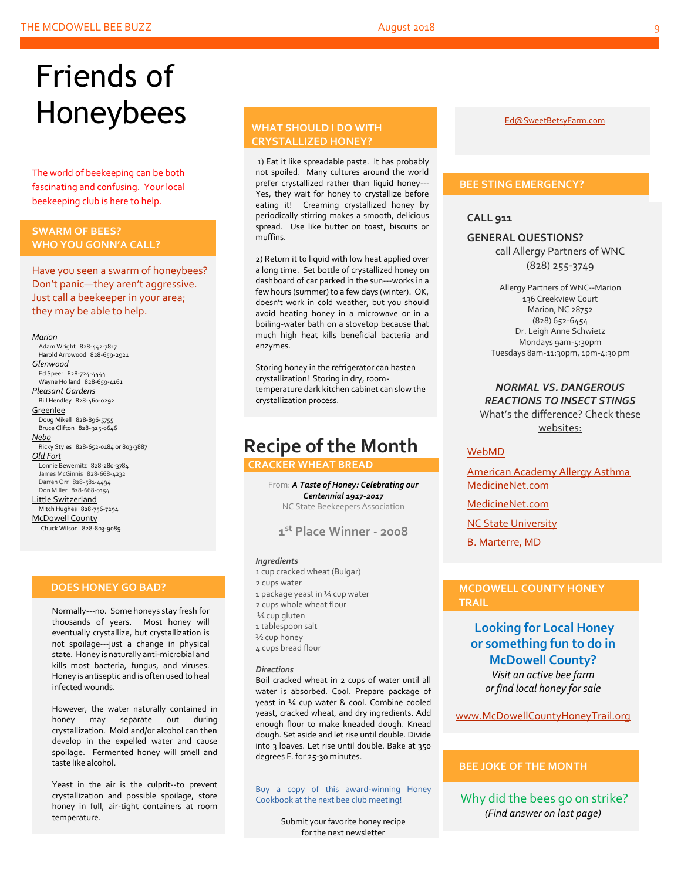# Friends of Honeybees

The world of beekeeping can be both fascinating and confusing. Your local beekeeping club is here to help.

#### <span id="page-8-0"></span>**SWARM OF BEES? WHO YOU GONN'A CALL?**

Have you seen a swarm of honeybees? Don't panic—they aren't aggressive. Just call a beekeeper in your area; they may be able to help.

#### *Marion*

 Adam Wright 828-442-7817 Harold Arrowood 828-659-2921 *Glenwood* Ed Speer 828-724-4444 Wayne Holland 828-659-4161 *Pleasant Gardens* Bill Hendley 828-460-0292 **Greenlee** Doug Mikell 828-896-5755 Bruce Clifton 828-925-0646 *Nebo* Ricky Styles 828-652-0184 or 803-3887 *Old Fort* Lonnie Bewernitz 828-280-3784 James McGinnis 828-668-4232 Darren Orr 828-581-4494 Don Miller 828-668-0154 Little Switzerland Mitch Hughes 828-756-7294 McDowell County Chuck Wilson 828-803-9089

#### **DOES HONEY GO BAD?**

Normally---no. Some honeys stay fresh for thousands of years. Most honey will eventually crystallize, but crystallization is not spoilage---just a change in physical state. Honey is naturally anti-microbial and kills most bacteria, fungus, and viruses. Honey is antiseptic and is often used to heal infected wounds.

However, the water naturally contained in honey may separate out during crystallization. Mold and/or alcohol can then develop in the expelled water and cause spoilage. Fermented honey will smell and taste like alcohol.

Yeast in the air is the culprit--to prevent crystallization and possible spoilage, store honey in full, air-tight containers at room temperature.

#### **WHAT SHOULD I DO WITH CRYSTALLIZED HONEY?**

1) Eat it like spreadable paste. It has probably not spoiled. Many cultures around the world prefer crystallized rather than liquid honey--- Yes, they wait for honey to crystallize before eating it! Creaming crystallized honey by periodically stirring makes a smooth, delicious spread. Use like butter on toast, biscuits or muffins.

2) Return it to liquid with low heat applied over a long time. Set bottle of crystallized honey on dashboard of car parked in the sun---works in a few hours (summer) to a few days (winter). OK, doesn't work in cold weather, but you should avoid heating honey in a microwave or in a boiling-water bath on a stovetop because that much high heat kills beneficial bacteria and enzymes.

Storing honey in the refrigerator can hasten crystallization! Storing in dry, roomtemperature dark kitchen cabinet can slow the crystallization process.

## **Recipe of the Month**

 **CRACKER WHEAT BREAD**

From: *A Taste of Honey: Celebrating our Centennial 1917-2017* NC State Beekeepers Association

**1 st Place Winner - 2008**

#### *Ingredients*

- 1 cup cracked wheat (Bulgar)
- 2 cups water
- 1 package yeast in ¼ cup water
- 2 cups whole wheat flour ¼ cup gluten
- 1 tablespoon salt
- ½ cup honey
- 4 cups bread flour

#### *Directions*

Boil cracked wheat in 2 cups of water until all water is absorbed. Cool. Prepare package of yeast in ¼ cup water & cool. Combine cooled yeast, cracked wheat, and dry ingredients. Add enough flour to make kneaded dough. Knead dough. Set aside and let rise until double. Divide into 3 loaves. Let rise until double. Bake at 350 degrees F. for 25-30 minutes.

Buy a copy of this award-winning Honey Cookbook at the next bee club meeting!

> Submit your favorite honey recipe for the next newsletter

[Ed@SweetBetsyFarm.com](mailto:Ed@SweetBetsyFarm.com)

#### **BEE STING EMERGENCY?**

**CALL 911**

**GENERAL QUESTIONS?** call Allergy Partners of WNC

(828) 255-3749

Allergy Partners of WNC--Marion 136 Creekview Court Marion, NC 28752 (828) 652-6454 Dr. Leigh Anne Schwietz Mondays 9am-5:30pm Tuesdays 8am-11:30pm, 1pm-4:30 pm

#### *NORMAL VS. DANGEROUS REACTIONS TO INSECT STINGS* What's the difference? Check these websites:

#### [WebMD](http://www.webmd.com/allergies/guide/insect-stings)

[American Academy Allergy Asthma](http://www.aaaai.org/conditions-and-treatments/library/allergy-library/stinging-insect-allergy.aspx) [MedicineNet.com](http://www.medicinenet.com/insect_sting_allergies/article.htm)

[MedicineNet.com](http://www.medicinenet.com/insect_sting_allergies/article.htm)

[NC State University](http://wncbees.org/wp-content/uploads/2014/08/Allergy-to-Insect-Stings-NCSU-1.09.pdf)

[B. Marterre, MD](http://wncbees.org/wp-content/uploads/2014/08/Bee-Stings-Immunology-Allergy-and-Treatment-Marterre.pdf)

#### **MCDOWELL COUNTY HONEY TRAIL**

**Looking for Local Honey or something fun to do in McDowell County?** *Visit an active bee farm* 

*or find local honey for sale*

[www.McDowellCountyHoneyTrail.org](http://www.mcdowellcountyhoneytrail.org/)

#### **BEE JOKE OF THE MONTH**

Why did the bees go on strike? *(Find answer on last page)*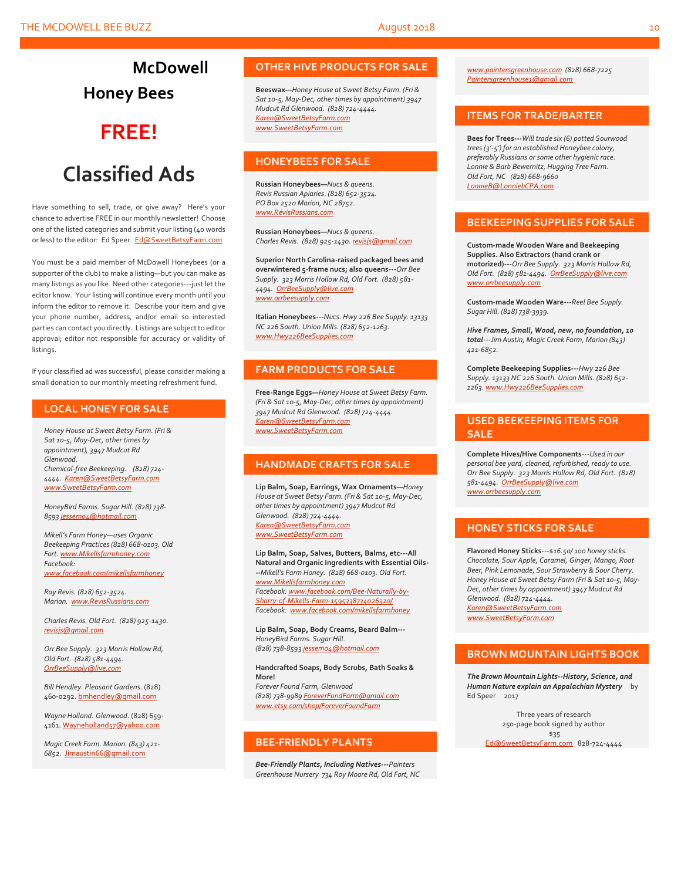**McDowell Honey Bees**

# **FREE!**

# **Classified Ads**

Have something to sell, trade, or give away? Here's your chance to advertise FREE in our monthly newsletter! Choose one of the listed categories and submit your listing (40 words or less) to the editor: Ed Speer [Ed@SweetBetsyFarm.com](mailto:Ed@SweetBetsyFarm.com)

You must be a paid member of McDowell Honeybees (or a supporter of the club) to make a listing—but you can make as many listings as you like. Need other categories---just let the editor know. Your listing will continue every month until you inform the editor to remove it. Describe your item and give your phone number, address, and/or email so interested parties can contact you directly. Listings are subject to editor approval; editor not responsible for accuracy or validity of listings.

If your classified ad was successful, please consider making a small donation to our monthly meeting refreshment fund.

#### **LOCAL HONEY FOR SALE**

*Honey House at Sweet Betsy Farm. (Fri & Sat 10-5, May-Dec, other times by appointment), 3947 Mudcut Rd Glenwood. Chemical-free Beekeeping. (828) 724- 4444. [Karen@SweetBetsyFarm.com](mailto:Karen@SweetBetsyFarm.com) www.SweetBetsyFarm.com*

*HoneyBird Farms. Sugar Hill. (828) 738- 859[3 jessem04@hotmail.com](mailto:jessem04@hotmail.com)*

*Mikell's Farm Honey—uses Organic Beekeeping Practices (828) 668-0103. Old Fort[. www.Mikellsfarmhoney.com](http://www.mikellsfarmhoney.com/) Facebook: [www.facebook.com/mikellsfarmhoney](http://www.facebook.com/mikellsfarmhoney)*

*Ray Revis. (828) 652-3524. Marion. [www.RevisRussians.com](http://www.revisrussians.com/)*

*Charles Revis. Old Fort. (828) 925-1430. [revisjs@gmail.com](mailto:revisjs@gmail.com)*

*Orr Bee Supply. 323 Morris Hollow Rd, Old Fort. (828) 581-4494. [OrrBeeSupply@live.com](mailto:OrrBeeSupply@live.com)*

*Bill Hendley. Pleasant Gardens.* (828) 460-0292[. bmhendley@gmail.com](mailto:bmhendley@gmail.com)

*Wayne Holland. Glenwood.* (828) 659- 4161[. Wayneholland57@yahoo.com](mailto:Wayneholland57@yahoo.com)

*Magic Creek Farm. Marion. (843) 421- 6852.* [Jimaustin66@gmail.com](mailto:Jimaustin66@gmail.com)

#### **OTHER HIVE PRODUCTS FOR SALE**

**Beeswax—***Honey House at Sweet Betsy Farm. (Fri & Sat 10-5, May-Dec, other times by appointment) 3947 Mudcut Rd Glenwood. (828) 724-4444. [Karen@SweetBetsyFarm.com](mailto:Karen@SweetBetsyFarm.com) www.SweetBetsyFarm.com*

#### **HONEYBEES FOR SALE**

**Russian Honeybees—***Nucs & queens. Revis Russian Apiaries. (828) 652-3524. PO Box 2520 Marion, NC 28752. [www.RevisRussians.com](http://www.revisrussians.com/)*

**Russian Honeybees—***Nucs & queens. Charles Revis. (828) 925-1430. [revisjs@gmail.com](mailto:revisjs@gmail.com)*

**Superior North Carolina-raised packaged bees and overwintered 5-frame nucs; also queens---***Orr Bee Supply. 323 Morris Hollow Rd, Old Fort. (828) 581- 4494. [OrrBeeSupply@live.com](mailto:OrrBeeSupply@live.com) www.orrbeesupply.com*

**Italian Honeybees---***Nucs. Hwy 226 Bee Supply. 13133 NC 226 South. Union Mills. (828) 652-1263. [www.Hwy226BeeSupplies.com](http://www.hwy226beesupplies.com/)*

#### **FARM PRODUCTS FOR SALE**

**Free-Range Eggs—***Honey House at Sweet Betsy Farm. (Fri & Sat 10-5, May-Dec, other times by appointment) 3947 Mudcut Rd Glenwood. (828) 724-4444. [Karen@SweetBetsyFarm.com](mailto:Karen@SweetBetsyFarm.com) www.SweetBetsyFarm.com*

#### **HANDMADE CRAFTS FOR SALE**

**Lip Balm, Soap, Earrings, Wax Ornaments—***Honey House at Sweet Betsy Farm. (Fri & Sat 10-5, May-Dec, other times by appointment) 3947 Mudcut Rd Glenwood. (828) 724-4444. [Karen@SweetBetsyFarm.com](mailto:Karen@SweetBetsyFarm.com) [www.SweetBetsyFarm.com](http://www.sweetbetsyfarm.com/)*

**Lip Balm, Soap, Salves, Butters, Balms, etc---All Natural and Organic Ingredients with Essential Oils- --***Mikell's Farm Honey. (828) 668-0103. Old Fort. [www.Mikellsfarmhoney.com](http://www.mikellsfarmhoney.com/) Facebook[: www.facebook.com/Bee-Naturally-by-](http://www.facebook.com/Bee-Naturally-by-Sharry-of-Mikells-Farm-1595338734026320/)[Sharry-of-Mikells-Farm-1595338734026320/](http://www.facebook.com/Bee-Naturally-by-Sharry-of-Mikells-Farm-1595338734026320/) Facebook: [www.facebook.com/mikellsfarmhoney](http://www.facebook.com/mikellsfarmhoney)*

**Lip Balm, Soap, Body Creams, Beard Balm---** *HoneyBird Farms. Sugar Hill. (828) 738-859[3 jessem04@hotmail.com](mailto:jessem04@hotmail.com)*

#### **Handcrafted Soaps, Body Scrubs, Bath Soaks & More!**

*Forever Found Farm, Glenwood (828) 738-9989 [ForeverFundFarm@gmail.com](mailto:ForeverFundFarm@gmail.com) [www.etsy.com/shop/ForeverFoundFarm](http://www.etsy.com/shop/ForeverFoundFarm)*

#### **BEE-FRIENDLY PLANTS**

*Bee-Friendly Plants, Including Natives---Painters Greenhouse Nursery 734 Roy Moore Rd, Old Fort, NC* 

*[www.paintersgreenhouse.com](http://www.paintersgreenhouse.com/) (828) 668-7225 [Paintersgreenhouse1@gmail.com](mailto:Paintersgreenhouse1@gmail.com)*

#### **ITEMS FOR TRADE/BARTER**

**Bees for Trees---***Will trade six (6) potted Sourwood trees (3'-5') for an established Honeybee colony, preferably Russians or some other hygienic race. Lonnie & Barb Bewernitz, Hugging Tree Farm. Old Fort, NC (828) 668-9660 [LonnieB@LonniebCPA.com](mailto:LonnieB@LonniebCPA.com)*

#### **BEEKEEPING SUPPLIES FOR SALE**

**Custom-made Wooden Ware and Beekeeping Supplies. Also Extractors (hand crank or motorized)---***Orr Bee Supply. 323 Morris Hollow Rd, Old Fort. (828) 581-4494. [OrrBeeSupply@live.com](mailto:OrrBeeSupply@live.com) [www.orrbeesupply.com](file:///K:/McDowell%20Honeybees/2016/2016%20Newsletters/May%202016%20Newsletter/www.orrbeesupply.com)*

**Custom-made Wooden Ware---***Reel Bee Supply. Sugar Hill. (828) 738-3939.*

*Hive Frames, Small, Wood, new, no foundation, 10 total---Jim Austin, Magic Creek Farm, Marion (843) 421-6852.*

**Complete Beekeeping Supplies---***Hwy 226 Bee Supply. 13133 NC 226 South. Union Mills. (828) 652- 1263. [www.Hwy226BeeSupplies.com](http://www.hwy226beesupplies.com/)*

#### **USED BEEKEEPING ITEMS FOR SALE**

**Complete Hives/Hive Components**---*Used in our personal bee yard, cleaned, refurbished, ready to use. Orr Bee Supply. 323 Morris Hollow Rd, Old Fort. (828) 581-4494. [OrrBeeSupply@live.com](mailto:OrrBeeSupply@live.com) [www.orrbeesupply.com](file:///K:/McDowell%20Honeybees/2016/2016%20Newsletters/May%202016%20Newsletter/www.orrbeesupply.com)*

#### **HONEY STICKS FOR SALE**

**Flavored Honey Sticks**---\$*16.50/ 100 honey sticks. Chocolate, Sour Apple, Caramel, Ginger, Mango, Root Beer, Pink Lemonade, Sour Strawberry & Sour Cherry. Honey House at Sweet Betsy Farm (Fri & Sat 10-5, May-Dec, other times by appointment) 3947 Mudcut Rd Glenwood. (828) 724-4444. [Karen@SweetBetsyFarm.com](mailto:Karen@SweetBetsyFarm.com)*

*www.SweetBetsyFarm.com*

#### **BROWN MOUNTAIN LIGHTS BOOK**

*The Brown Mountain Lights--History, Science, and Human Nature explain an Appalachian Mystery* by Ed Speer 2017

Three years of research 250-page book signed by author \$35 [Ed@SweetBetsyFarm.com](mailto:Ed@SweetBetsyFarm.com) 828-724-4444